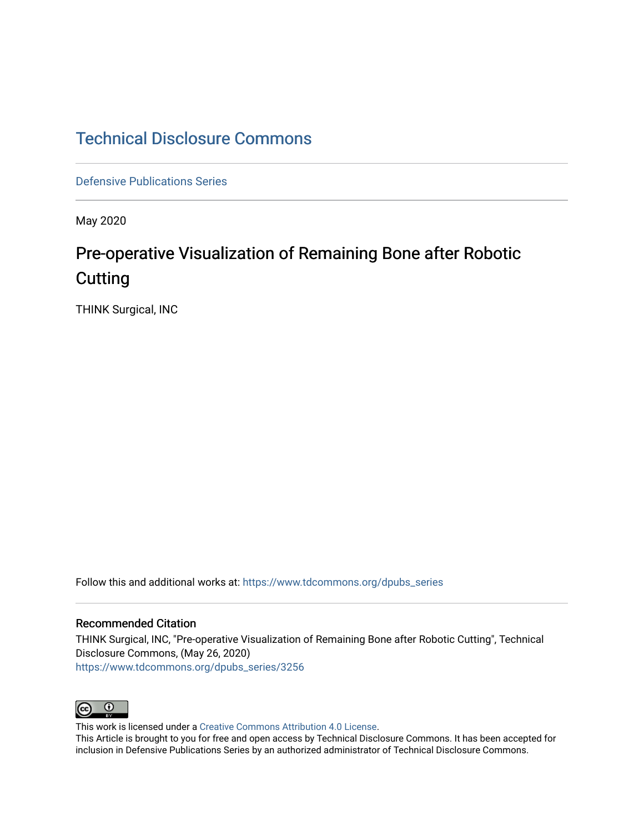## [Technical Disclosure Commons](https://www.tdcommons.org/)

[Defensive Publications Series](https://www.tdcommons.org/dpubs_series)

May 2020

# Pre-operative Visualization of Remaining Bone after Robotic **Cutting**

THINK Surgical, INC

Follow this and additional works at: [https://www.tdcommons.org/dpubs\\_series](https://www.tdcommons.org/dpubs_series?utm_source=www.tdcommons.org%2Fdpubs_series%2F3256&utm_medium=PDF&utm_campaign=PDFCoverPages) 

#### Recommended Citation

THINK Surgical, INC, "Pre-operative Visualization of Remaining Bone after Robotic Cutting", Technical Disclosure Commons, (May 26, 2020) [https://www.tdcommons.org/dpubs\\_series/3256](https://www.tdcommons.org/dpubs_series/3256?utm_source=www.tdcommons.org%2Fdpubs_series%2F3256&utm_medium=PDF&utm_campaign=PDFCoverPages)



This work is licensed under a [Creative Commons Attribution 4.0 License](http://creativecommons.org/licenses/by/4.0/deed.en_US).

This Article is brought to you for free and open access by Technical Disclosure Commons. It has been accepted for inclusion in Defensive Publications Series by an authorized administrator of Technical Disclosure Commons.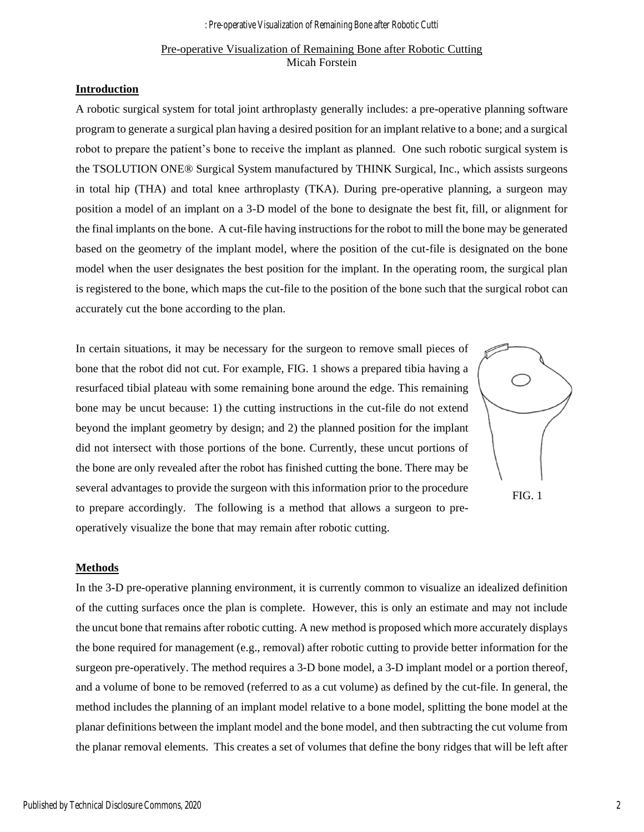### Pre-operative Visualization of Remaining Bone after Robotic Cutting Micah Forstein

#### **Introduction**

A robotic surgical system for total joint arthroplasty generally includes: a pre-operative planning software program to generate a surgical plan having a desired position for an implant relative to a bone; and a surgical robot to prepare the patient's bone to receive the implant as planned. One such robotic surgical system is the TSOLUTION ONE® Surgical System manufactured by THINK Surgical, Inc., which assists surgeons in total hip (THA) and total knee arthroplasty (TKA). During pre-operative planning, a surgeon may position a model of an implant on a 3-D model of the bone to designate the best fit, fill, or alignment for the final implants on the bone. A cut-file having instructions for the robot to mill the bone may be generated based on the geometry of the implant model, where the position of the cut-file is designated on the bone model when the user designates the best position for the implant. In the operating room, the surgical plan is registered to the bone, which maps the cut-file to the position of the bone such that the surgical robot can accurately cut the bone according to the plan.

In certain situations, it may be necessary for the surgeon to remove small pieces of bone that the robot did not cut. For example, FIG. 1 shows a prepared tibia having a resurfaced tibial plateau with some remaining bone around the edge. This remaining bone may be uncut because: 1) the cutting instructions in the cut-file do not extend beyond the implant geometry by design; and 2) the planned position for the implant did not intersect with those portions of the bone. Currently, these uncut portions of the bone are only revealed after the robot has finished cutting the bone. There may be several advantages to provide the surgeon with this information prior to the procedure to prepare accordingly. The following is a method that allows a surgeon to preoperatively visualize the bone that may remain after robotic cutting.

FIG. 1

#### **Methods**

In the 3-D pre-operative planning environment, it is currently common to visualize an idealized definition of the cutting surfaces once the plan is complete. However, this is only an estimate and may not include the uncut bone that remains after robotic cutting. A new method is proposed which more accurately displays the bone required for management (e.g., removal) after robotic cutting to provide better information for the surgeon pre-operatively. The method requires a 3-D bone model, a 3-D implant model or a portion thereof, and a volume of bone to be removed (referred to as a cut volume) as defined by the cut-file. In general, the method includes the planning of an implant model relative to a bone model, splitting the bone model at the planar definitions between the implant model and the bone model, and then subtracting the cut volume from the planar removal elements. This creates a set of volumes that define the bony ridges that will be left after